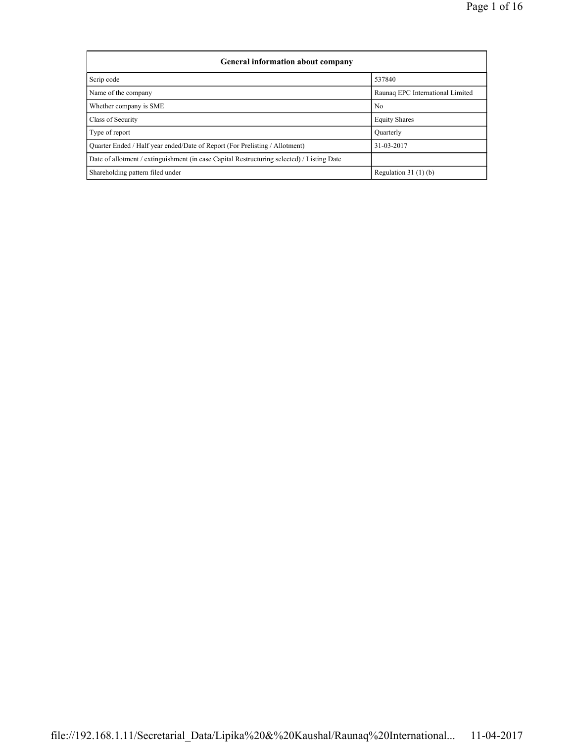| <b>General information about company</b>                                                   |                                  |  |  |  |  |  |  |
|--------------------------------------------------------------------------------------------|----------------------------------|--|--|--|--|--|--|
| Scrip code                                                                                 | 537840                           |  |  |  |  |  |  |
| Name of the company                                                                        | Raunaq EPC International Limited |  |  |  |  |  |  |
| Whether company is SME                                                                     | No                               |  |  |  |  |  |  |
| Class of Security                                                                          | <b>Equity Shares</b>             |  |  |  |  |  |  |
| Type of report                                                                             | Quarterly                        |  |  |  |  |  |  |
| Quarter Ended / Half year ended/Date of Report (For Prelisting / Allotment)                | 31-03-2017                       |  |  |  |  |  |  |
| Date of allotment / extinguishment (in case Capital Restructuring selected) / Listing Date |                                  |  |  |  |  |  |  |
| Shareholding pattern filed under                                                           | Regulation $31(1)(b)$            |  |  |  |  |  |  |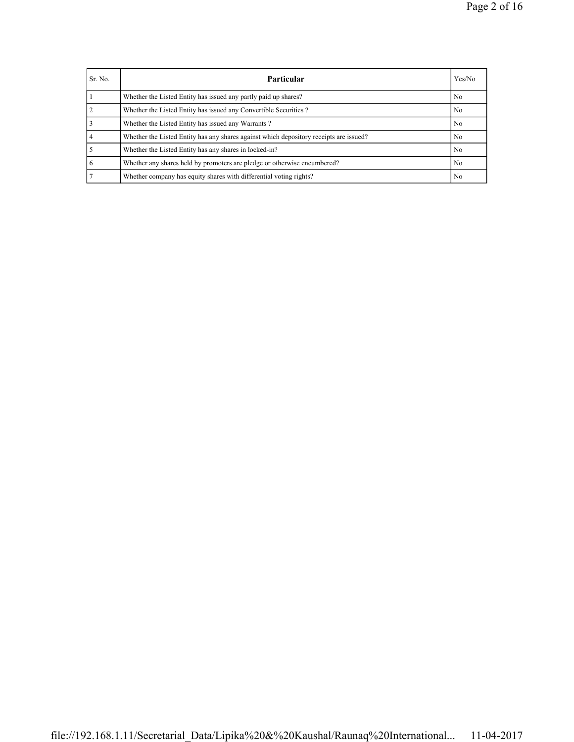| Sr. No. | Particular                                                                             | Yes/No         |
|---------|----------------------------------------------------------------------------------------|----------------|
|         | Whether the Listed Entity has issued any partly paid up shares?                        | No             |
|         | Whether the Listed Entity has issued any Convertible Securities?                       | No             |
|         | Whether the Listed Entity has issued any Warrants?                                     | No             |
| 4       | Whether the Listed Entity has any shares against which depository receipts are issued? | N <sub>0</sub> |
|         | Whether the Listed Entity has any shares in locked-in?                                 | No             |
| -6      | Whether any shares held by promoters are pledge or otherwise encumbered?               | No             |
|         | Whether company has equity shares with differential voting rights?                     | No             |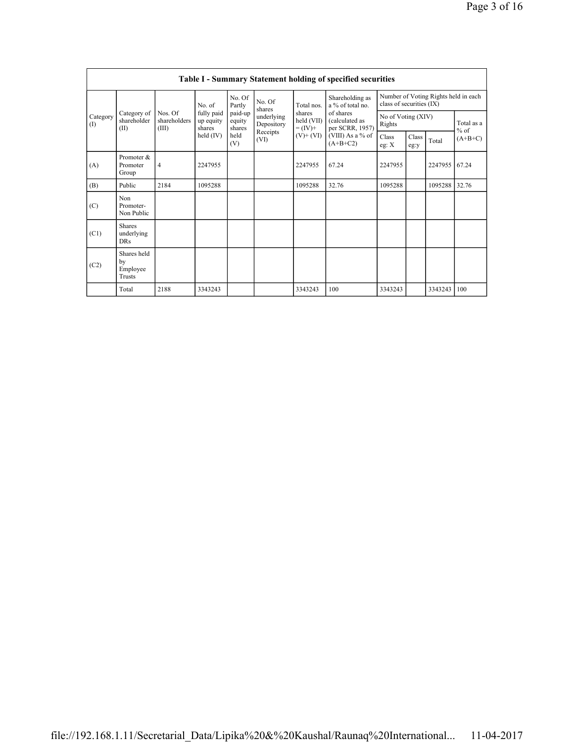|                   | Table I - Summary Statement holding of specified securities |                                  |                                   |                             |                          |                                                                    |                                                                                                                         |                                                                  |               |         |                      |  |  |
|-------------------|-------------------------------------------------------------|----------------------------------|-----------------------------------|-----------------------------|--------------------------|--------------------------------------------------------------------|-------------------------------------------------------------------------------------------------------------------------|------------------------------------------------------------------|---------------|---------|----------------------|--|--|
|                   |                                                             |                                  | No. of                            | No. Of<br>Partly            | No. Of<br>shares         | Total nos.<br>shares<br>held (VII)<br>$= (IV) +$<br>$(V)$ + $(VI)$ | Shareholding as<br>a % of total no.<br>of shares<br>(calculated as<br>per SCRR, 1957)<br>(VIII) As a % of<br>$(A+B+C2)$ | Number of Voting Rights held in each<br>class of securities (IX) |               |         |                      |  |  |
| Category<br>$($ I | Category of<br>shareholder<br>(II)                          | Nos. Of<br>shareholders<br>(III) | fully paid<br>up equity<br>shares | paid-up<br>equity<br>shares | underlying<br>Depository |                                                                    |                                                                                                                         | No of Voting (XIV)<br>Rights                                     |               |         | Total as a<br>$%$ of |  |  |
|                   |                                                             |                                  | held $(IV)$                       | held<br>(V)                 | Receipts<br>(VI)         |                                                                    |                                                                                                                         | <b>Class</b><br>eg: X                                            | Class<br>eg:y | Total   | $(A+B+C)$            |  |  |
| (A)               | Promoter &<br>Promoter<br>Group                             | $\overline{4}$                   | 2247955                           |                             |                          | 2247955                                                            | 67.24                                                                                                                   | 2247955                                                          |               | 2247955 | 67.24                |  |  |
| (B)               | Public                                                      | 2184                             | 1095288                           |                             |                          | 1095288                                                            | 32.76                                                                                                                   | 1095288                                                          |               | 1095288 | 32.76                |  |  |
| (C)               | Non<br>Promoter-<br>Non Public                              |                                  |                                   |                             |                          |                                                                    |                                                                                                                         |                                                                  |               |         |                      |  |  |
| (C1)              | <b>Shares</b><br>underlying<br><b>DRs</b>                   |                                  |                                   |                             |                          |                                                                    |                                                                                                                         |                                                                  |               |         |                      |  |  |
| (C2)              | Shares held<br>by<br>Employee<br>Trusts                     |                                  |                                   |                             |                          |                                                                    |                                                                                                                         |                                                                  |               |         |                      |  |  |
|                   | Total                                                       | 2188                             | 3343243                           |                             |                          | 3343243                                                            | 100                                                                                                                     | 3343243                                                          |               | 3343243 | 100                  |  |  |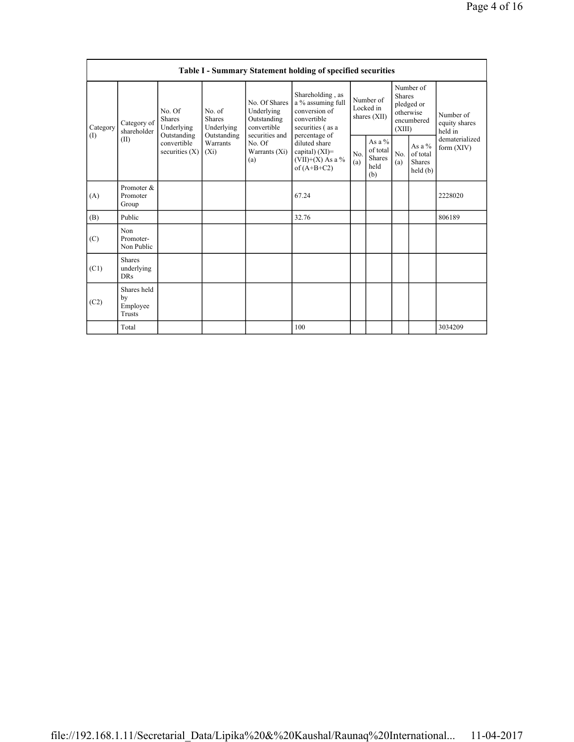|                 | Table I - Summary Statement holding of specified securities                                                                   |                                    |                                                  |                                                                                                                                                        |                                        |                                               |                                                                               |                                                |                                       |         |  |  |
|-----------------|-------------------------------------------------------------------------------------------------------------------------------|------------------------------------|--------------------------------------------------|--------------------------------------------------------------------------------------------------------------------------------------------------------|----------------------------------------|-----------------------------------------------|-------------------------------------------------------------------------------|------------------------------------------------|---------------------------------------|---------|--|--|
| Category<br>(1) | No. Of<br><b>Shares</b><br>Category of<br>Underlying<br>shareholder<br>Outstanding<br>(II)<br>convertible<br>securities $(X)$ |                                    | No. of<br><b>Shares</b><br>Underlying            | Shareholding, as<br>No. Of Shares<br>a % assuming full<br>conversion of<br>Underlying<br>convertible<br>Outstanding<br>convertible<br>securities (as a | Number of<br>Locked in<br>shares (XII) |                                               | Number of<br><b>Shares</b><br>pledged or<br>otherwise<br>encumbered<br>(XIII) |                                                | Number of<br>equity shares<br>held in |         |  |  |
|                 |                                                                                                                               | Outstanding<br>Warrants<br>$(X_i)$ | securities and<br>No. Of<br>Warrants (Xi)<br>(a) | percentage of<br>diluted share<br>capital) (XI)=<br>$(VII)+(X)$ As a %<br>of $(A+B+C2)$                                                                | No.<br>(a)                             | As a $%$<br>of total<br>Shares<br>held<br>(b) | No.<br>(a)                                                                    | As a %<br>of total<br><b>Shares</b><br>held(b) | dematerialized<br>form $(XIV)$        |         |  |  |
| (A)             | Promoter &<br>Promoter<br>Group                                                                                               |                                    |                                                  |                                                                                                                                                        | 67.24                                  |                                               |                                                                               |                                                |                                       | 2228020 |  |  |
| (B)             | Public                                                                                                                        |                                    |                                                  |                                                                                                                                                        | 32.76                                  |                                               |                                                                               |                                                |                                       | 806189  |  |  |
| (C)             | Non<br>Promoter-<br>Non Public                                                                                                |                                    |                                                  |                                                                                                                                                        |                                        |                                               |                                                                               |                                                |                                       |         |  |  |
| (C1)            | <b>Shares</b><br>underlying<br><b>DRs</b>                                                                                     |                                    |                                                  |                                                                                                                                                        |                                        |                                               |                                                                               |                                                |                                       |         |  |  |
| (C2)            | Shares held<br>by<br>Employee<br><b>Trusts</b>                                                                                |                                    |                                                  |                                                                                                                                                        |                                        |                                               |                                                                               |                                                |                                       |         |  |  |
|                 | Total                                                                                                                         |                                    |                                                  |                                                                                                                                                        | 100                                    |                                               |                                                                               |                                                |                                       | 3034209 |  |  |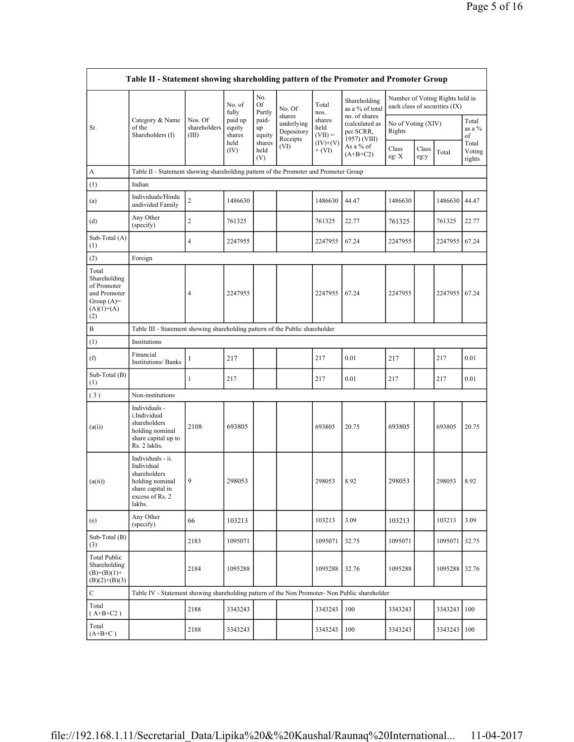| Table II - Statement showing shareholding pattern of the Promoter and Promoter Group        |                                                                                                                     |                                  |                                     |                                 |                                                |                                           |                                                              |                              |               |                                                                  |                           |
|---------------------------------------------------------------------------------------------|---------------------------------------------------------------------------------------------------------------------|----------------------------------|-------------------------------------|---------------------------------|------------------------------------------------|-------------------------------------------|--------------------------------------------------------------|------------------------------|---------------|------------------------------------------------------------------|---------------------------|
|                                                                                             |                                                                                                                     |                                  | No. of<br>fully                     | No.<br>Of<br>Partly             | No. Of                                         | Total<br>nos.                             | Shareholding<br>as a % of total                              |                              |               | Number of Voting Rights held in<br>each class of securities (IX) |                           |
| Sr.                                                                                         | Category & Name<br>of the<br>Shareholders (I)                                                                       | Nos. Of<br>shareholders<br>(III) | paid up<br>equity<br>shares<br>held | paid-<br>up<br>equity<br>shares | shares<br>underlying<br>Depository<br>Receipts | shares<br>held<br>$(VII) =$<br>$(IV)+(V)$ | no. of shares<br>(calculated as<br>per SCRR,<br>1957) (VIII) | No of Voting (XIV)<br>Rights |               |                                                                  | Total<br>as a %<br>of     |
|                                                                                             |                                                                                                                     |                                  | (IV)                                | held<br>(V)                     | (VI)                                           | $+ (VI)$                                  | As a % of<br>$(A+B+C2)$                                      | Class<br>eg: X               | Class<br>eg:y | Total                                                            | Total<br>Voting<br>rights |
| A                                                                                           | Table II - Statement showing shareholding pattern of the Promoter and Promoter Group                                |                                  |                                     |                                 |                                                |                                           |                                                              |                              |               |                                                                  |                           |
| (1)                                                                                         | Indian                                                                                                              |                                  |                                     |                                 |                                                |                                           |                                                              |                              |               |                                                                  |                           |
| (a)                                                                                         | Individuals/Hindu<br>undivided Family                                                                               | $\overline{\mathbf{c}}$          | 1486630                             |                                 |                                                | 1486630                                   | 44.47                                                        | 1486630                      |               | 1486630                                                          | 44.47                     |
| (d)                                                                                         | Any Other<br>(specify)                                                                                              | 2                                | 761325                              |                                 |                                                | 761325                                    | 22.77                                                        | 761325                       |               | 761325                                                           | 22.77                     |
| Sub-Total (A)<br>(1)                                                                        |                                                                                                                     | 4                                | 2247955                             |                                 |                                                | 2247955                                   | 67.24                                                        | 2247955                      |               | 2247955                                                          | 67.24                     |
| (2)                                                                                         | Foreign                                                                                                             |                                  |                                     |                                 |                                                |                                           |                                                              |                              |               |                                                                  |                           |
| Total<br>Shareholding<br>of Promoter<br>and Promoter<br>Group $(A)=$<br>$(A)(1)+(A)$<br>(2) |                                                                                                                     | 4                                | 2247955                             |                                 |                                                | 2247955                                   | 67.24                                                        | 2247955                      |               | 2247955                                                          | 67.24                     |
| B                                                                                           | Table III - Statement showing shareholding pattern of the Public shareholder                                        |                                  |                                     |                                 |                                                |                                           |                                                              |                              |               |                                                                  |                           |
| (1)                                                                                         | Institutions                                                                                                        |                                  |                                     |                                 |                                                |                                           |                                                              |                              |               |                                                                  |                           |
| (f)                                                                                         | Financial<br><b>Institutions/Banks</b>                                                                              | 1                                | 217                                 |                                 |                                                | 217                                       | 0.01                                                         | 217                          |               | 217                                                              | 0.01                      |
| Sub-Total (B)<br>(1)                                                                        |                                                                                                                     | 1                                | 217                                 |                                 |                                                | 217                                       | 0.01                                                         | 217                          |               | 217                                                              | 0.01                      |
| (3)                                                                                         | Non-institutions                                                                                                    |                                  |                                     |                                 |                                                |                                           |                                                              |                              |               |                                                                  |                           |
| (a(i))                                                                                      | Individuals -<br>i.Individual<br>shareholders<br>holding nominal<br>share capital up to<br>Rs. 2 lakhs.             | 2108                             | 693805                              |                                 |                                                | 693805                                    | 20.75                                                        | 693805                       |               | 693805                                                           | 20.75                     |
| (a(ii))                                                                                     | Individuals - ii.<br>Individual<br>shareholders<br>holding nominal<br>share capital in<br>excess of Rs. 2<br>lakhs. | 9                                | 298053                              |                                 |                                                | 298053                                    | 8.92                                                         | 298053                       |               | 298053                                                           | 8.92                      |
| (e)                                                                                         | Any Other<br>(specify)                                                                                              | 66                               | 103213                              |                                 |                                                | 103213                                    | 3.09                                                         | 103213                       |               | 103213                                                           | 3.09                      |
| Sub-Total (B)<br>(3)                                                                        |                                                                                                                     | 2183                             | 1095071                             |                                 |                                                | 1095071                                   | 32.75                                                        | 1095071                      |               | 1095071                                                          | 32.75                     |
| <b>Total Public</b><br>Shareholding<br>$(B)=(B)(1)+$<br>$(B)(2)+(B)(3)$                     |                                                                                                                     | 2184                             | 1095288                             |                                 |                                                | 1095288                                   | 32.76                                                        | 1095288                      |               | 1095288                                                          | 32.76                     |
| $\mathbf C$                                                                                 | Table IV - Statement showing shareholding pattern of the Non Promoter- Non Public shareholder                       |                                  |                                     |                                 |                                                |                                           |                                                              |                              |               |                                                                  |                           |
| Total<br>$(A+B+C2)$                                                                         |                                                                                                                     | 2188                             | 3343243                             |                                 |                                                | 3343243                                   | 100                                                          | 3343243                      |               | 3343243                                                          | 100                       |
| Total<br>$(A+B+C)$                                                                          |                                                                                                                     | 2188                             | 3343243                             |                                 |                                                | 3343243                                   | 100                                                          | 3343243                      |               | 3343243                                                          | 100                       |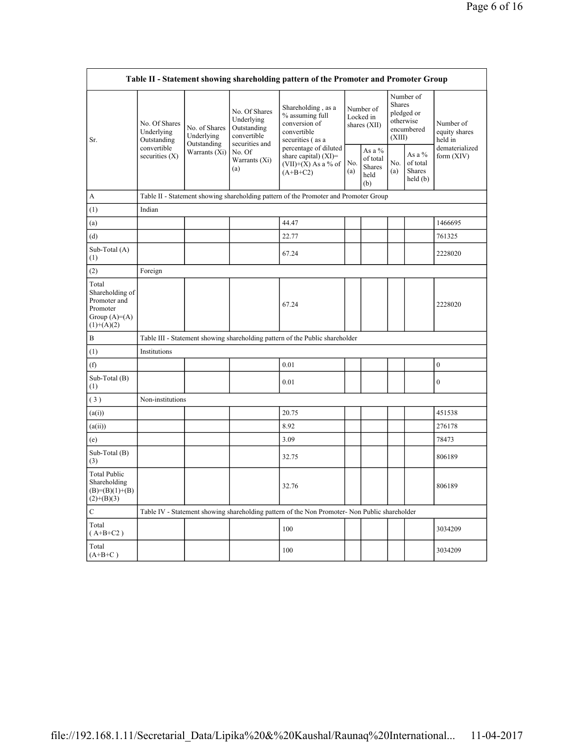| Table II - Statement showing shareholding pattern of the Promoter and Promoter Group   |                                                          |                              |                                                           |                                                                                               |                                        |                                             |                                                                               |                                         |                                       |
|----------------------------------------------------------------------------------------|----------------------------------------------------------|------------------------------|-----------------------------------------------------------|-----------------------------------------------------------------------------------------------|----------------------------------------|---------------------------------------------|-------------------------------------------------------------------------------|-----------------------------------------|---------------------------------------|
| Sr.                                                                                    | No. Of Shares<br>Underlying<br>Underlying<br>Outstanding | No. of Shares                | No. Of Shares<br>Underlying<br>Outstanding<br>convertible | Shareholding, as a<br>% assuming full<br>conversion of<br>convertible<br>securities (as a     | Number of<br>Locked in<br>shares (XII) |                                             | Number of<br><b>Shares</b><br>pledged or<br>otherwise<br>encumbered<br>(XIII) |                                         | Number of<br>equity shares<br>held in |
|                                                                                        | convertible<br>securities $(X)$                          | Outstanding<br>Warrants (Xi) | securities and<br>No. Of<br>Warrants (Xi)<br>(a)          | percentage of diluted<br>share capital) $(XI)$ =<br>$(VII)+(X)$ As a % of<br>$(A+B+C2)$       | No.<br>(a)                             | As a %<br>of total<br>Shares<br>held<br>(b) | No.<br>(a)                                                                    | As a %<br>of total<br>Shares<br>held(b) | dematerialized<br>form $(XIV)$        |
| А                                                                                      |                                                          |                              |                                                           | Table II - Statement showing shareholding pattern of the Promoter and Promoter Group          |                                        |                                             |                                                                               |                                         |                                       |
| (1)                                                                                    | Indian                                                   |                              |                                                           |                                                                                               |                                        |                                             |                                                                               |                                         |                                       |
| (a)                                                                                    |                                                          |                              |                                                           | 44.47                                                                                         |                                        |                                             |                                                                               |                                         | 1466695                               |
| (d)                                                                                    |                                                          |                              |                                                           | 22.77                                                                                         |                                        |                                             |                                                                               |                                         | 761325                                |
| Sub-Total (A)<br>(1)                                                                   |                                                          |                              |                                                           | 67.24                                                                                         |                                        |                                             |                                                                               |                                         | 2228020                               |
| (2)                                                                                    | Foreign                                                  |                              |                                                           |                                                                                               |                                        |                                             |                                                                               |                                         |                                       |
| Total<br>Shareholding of<br>Promoter and<br>Promoter<br>Group $(A)=A)$<br>$(1)+(A)(2)$ |                                                          |                              |                                                           | 67.24                                                                                         |                                        |                                             |                                                                               |                                         | 2228020                               |
| B                                                                                      |                                                          |                              |                                                           | Table III - Statement showing shareholding pattern of the Public shareholder                  |                                        |                                             |                                                                               |                                         |                                       |
| (1)                                                                                    | Institutions                                             |                              |                                                           |                                                                                               |                                        |                                             |                                                                               |                                         |                                       |
| (f)                                                                                    |                                                          |                              |                                                           | 0.01                                                                                          |                                        |                                             |                                                                               |                                         | $\boldsymbol{0}$                      |
| Sub-Total (B)<br>(1)                                                                   |                                                          |                              |                                                           | 0.01                                                                                          |                                        |                                             |                                                                               |                                         | $\boldsymbol{0}$                      |
| (3)                                                                                    | Non-institutions                                         |                              |                                                           |                                                                                               |                                        |                                             |                                                                               |                                         |                                       |
| (a(i))                                                                                 |                                                          |                              |                                                           | 20.75                                                                                         |                                        |                                             |                                                                               |                                         | 451538                                |
| (a(i))                                                                                 |                                                          |                              |                                                           | 8.92                                                                                          |                                        |                                             |                                                                               |                                         | 276178                                |
| (e)                                                                                    |                                                          |                              |                                                           | 3.09                                                                                          |                                        |                                             |                                                                               |                                         | 78473                                 |
| Sub-Total (B)<br>(3)                                                                   |                                                          |                              |                                                           | 32.75                                                                                         |                                        |                                             |                                                                               |                                         | 806189                                |
| <b>Total Public</b><br>Shareholding<br>$(B)=(B)(1)+(B)$<br>$(2)+(B)(3)$                |                                                          |                              |                                                           | 32.76                                                                                         |                                        |                                             |                                                                               |                                         | 806189                                |
| $\mathbf C$                                                                            |                                                          |                              |                                                           | Table IV - Statement showing shareholding pattern of the Non Promoter- Non Public shareholder |                                        |                                             |                                                                               |                                         |                                       |
| Total<br>$(A+B+C2)$                                                                    |                                                          |                              |                                                           | 100                                                                                           |                                        |                                             |                                                                               |                                         | 3034209                               |
| Total<br>$(A+B+C)$                                                                     |                                                          |                              |                                                           | 100                                                                                           |                                        |                                             |                                                                               |                                         | 3034209                               |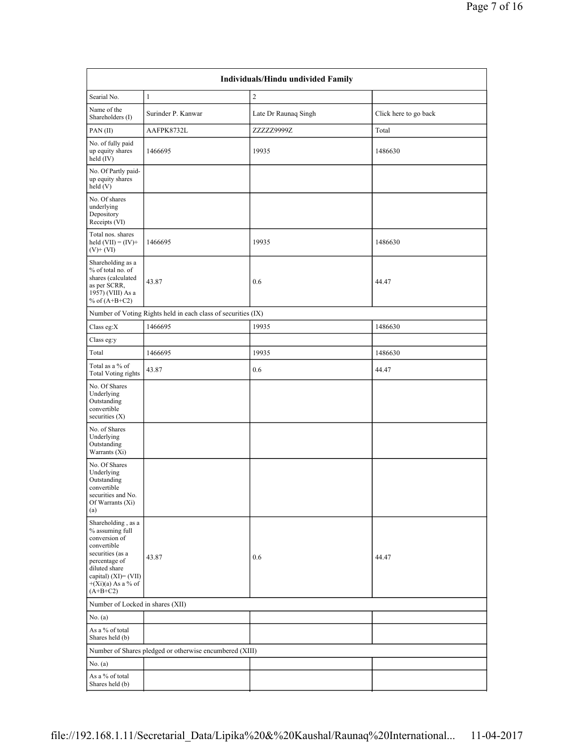| Individuals/Hindu undivided Family                                                                                                                                                        |                                                               |                      |                       |  |  |  |  |  |
|-------------------------------------------------------------------------------------------------------------------------------------------------------------------------------------------|---------------------------------------------------------------|----------------------|-----------------------|--|--|--|--|--|
| Searial No.                                                                                                                                                                               | $\mathbf{1}$                                                  | $\overline{c}$       |                       |  |  |  |  |  |
| Name of the<br>Shareholders (I)                                                                                                                                                           | Surinder P. Kanwar                                            | Late Dr Raunaq Singh | Click here to go back |  |  |  |  |  |
| $PAN$ (II)                                                                                                                                                                                | AAFPK8732L                                                    | ZZZZZ9999Z           | Total                 |  |  |  |  |  |
| No. of fully paid<br>up equity shares<br>held $(IV)$                                                                                                                                      | 1466695                                                       | 19935                | 1486630               |  |  |  |  |  |
| No. Of Partly paid-<br>up equity shares<br>held(V)                                                                                                                                        |                                                               |                      |                       |  |  |  |  |  |
| No. Of shares<br>underlying<br>Depository<br>Receipts (VI)                                                                                                                                |                                                               |                      |                       |  |  |  |  |  |
| Total nos. shares<br>held $(VII) = (IV) +$<br>$(V)$ + $(VI)$                                                                                                                              | 1466695                                                       | 19935                | 1486630               |  |  |  |  |  |
| Shareholding as a<br>% of total no. of<br>shares (calculated<br>as per SCRR,<br>1957) (VIII) As a<br>% of $(A+B+C2)$                                                                      | 43.87                                                         | 0.6                  | 44.47                 |  |  |  |  |  |
|                                                                                                                                                                                           | Number of Voting Rights held in each class of securities (IX) |                      |                       |  |  |  |  |  |
| Class eg: $X$                                                                                                                                                                             | 1466695                                                       | 19935                | 1486630               |  |  |  |  |  |
| Class eg:y                                                                                                                                                                                |                                                               |                      |                       |  |  |  |  |  |
| Total                                                                                                                                                                                     | 1466695                                                       | 19935                | 1486630               |  |  |  |  |  |
| Total as a % of<br><b>Total Voting rights</b>                                                                                                                                             | 43.87                                                         | 0.6                  | 44.47                 |  |  |  |  |  |
| No. Of Shares<br>Underlying<br>Outstanding<br>convertible<br>securities (X)                                                                                                               |                                                               |                      |                       |  |  |  |  |  |
| No. of Shares<br>Underlying<br>Outstanding<br>Warrants (Xi)                                                                                                                               |                                                               |                      |                       |  |  |  |  |  |
| No. Of Shares<br>Underlying<br>Outstanding<br>convertible<br>securities and No.<br>Of Warrants (Xi)<br>(a)                                                                                |                                                               |                      |                       |  |  |  |  |  |
| Shareholding, as a<br>% assuming full<br>conversion of<br>convertible<br>securities (as a<br>percentage of<br>diluted share<br>capital) (XI)= (VII)<br>$+(Xi)(a)$ As a % of<br>$(A+B+C2)$ | 43.87                                                         | 0.6                  | 44.47                 |  |  |  |  |  |
| Number of Locked in shares (XII)                                                                                                                                                          |                                                               |                      |                       |  |  |  |  |  |
| No. (a)                                                                                                                                                                                   |                                                               |                      |                       |  |  |  |  |  |
| As a % of total<br>Shares held (b)                                                                                                                                                        |                                                               |                      |                       |  |  |  |  |  |
|                                                                                                                                                                                           | Number of Shares pledged or otherwise encumbered (XIII)       |                      |                       |  |  |  |  |  |
| No. (a)                                                                                                                                                                                   |                                                               |                      |                       |  |  |  |  |  |
| As a % of total<br>Shares held (b)                                                                                                                                                        |                                                               |                      |                       |  |  |  |  |  |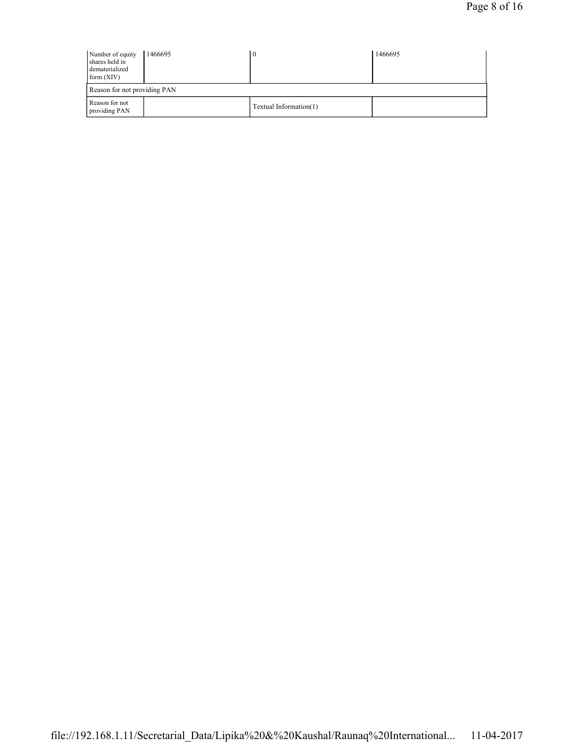| Number of equity<br>shares held in<br>dematerialized<br>form (XIV) | 1466695                      |                        | 1466695 |  |  |  |  |  |
|--------------------------------------------------------------------|------------------------------|------------------------|---------|--|--|--|--|--|
|                                                                    | Reason for not providing PAN |                        |         |  |  |  |  |  |
| Reason for not<br>providing PAN                                    |                              | Textual Information(1) |         |  |  |  |  |  |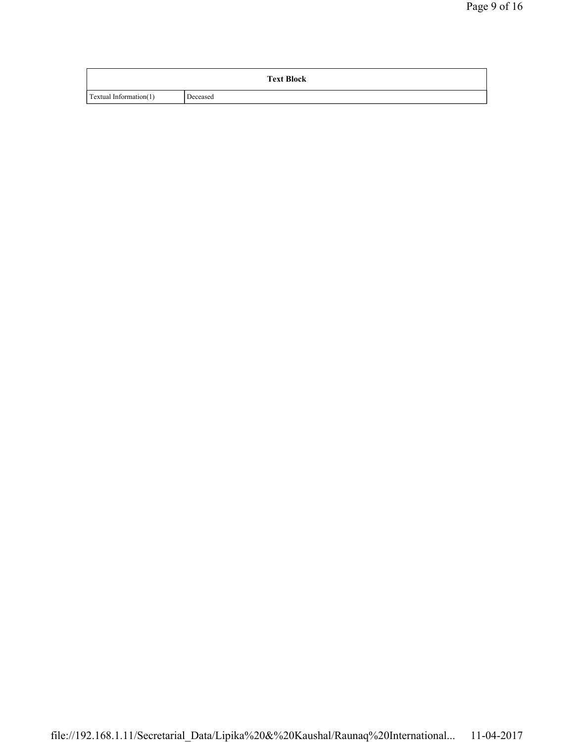|                        | <b>Text Block</b> |
|------------------------|-------------------|
| Textual Information(1) | Deceased          |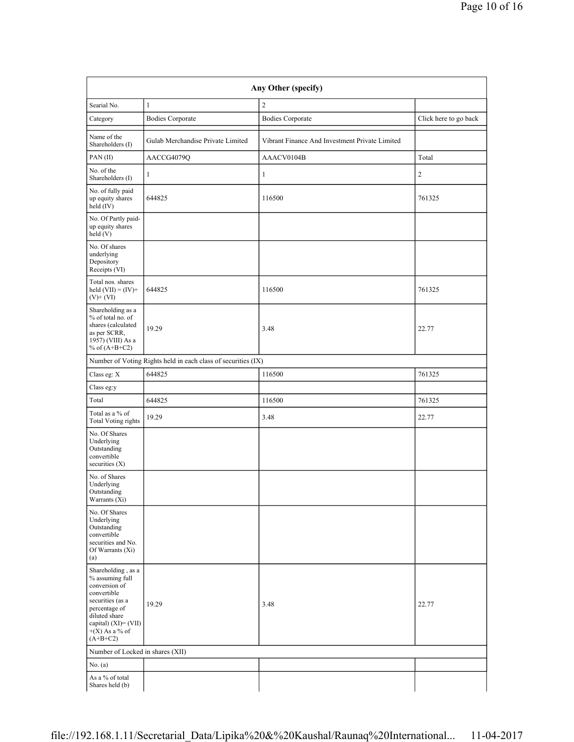| Any Other (specify)                                                                                                                                                                      |                                                               |                                                |                       |  |  |  |  |  |
|------------------------------------------------------------------------------------------------------------------------------------------------------------------------------------------|---------------------------------------------------------------|------------------------------------------------|-----------------------|--|--|--|--|--|
| Searial No.                                                                                                                                                                              | $\mathbf{1}$                                                  | $\overline{c}$                                 |                       |  |  |  |  |  |
| Category                                                                                                                                                                                 | <b>Bodies Corporate</b>                                       | <b>Bodies Corporate</b>                        | Click here to go back |  |  |  |  |  |
| Name of the<br>Shareholders (I)                                                                                                                                                          | Gulab Merchandise Private Limited                             | Vibrant Finance And Investment Private Limited |                       |  |  |  |  |  |
| PAN(II)                                                                                                                                                                                  | AACCG4079Q                                                    | AAACV0104B                                     | Total                 |  |  |  |  |  |
| No. of the<br>Shareholders (I)                                                                                                                                                           | 1                                                             | 1                                              | $\overline{c}$        |  |  |  |  |  |
| No. of fully paid<br>up equity shares<br>held (IV)                                                                                                                                       | 644825                                                        | 116500                                         | 761325                |  |  |  |  |  |
| No. Of Partly paid-<br>up equity shares<br>$\text{held}$ (V)                                                                                                                             |                                                               |                                                |                       |  |  |  |  |  |
| No. Of shares<br>underlying<br>Depository<br>Receipts (VI)                                                                                                                               |                                                               |                                                |                       |  |  |  |  |  |
| Total nos. shares<br>held $(VII) = (IV) +$<br>$(V)$ + $(VI)$                                                                                                                             | 644825                                                        | 116500                                         | 761325                |  |  |  |  |  |
| Shareholding as a<br>% of total no. of<br>shares (calculated<br>as per SCRR,<br>1957) (VIII) As a<br>% of $(A+B+C2)$                                                                     | 19.29                                                         | 3.48                                           | 22.77                 |  |  |  |  |  |
|                                                                                                                                                                                          | Number of Voting Rights held in each class of securities (IX) |                                                |                       |  |  |  |  |  |
| Class eg: X                                                                                                                                                                              | 644825                                                        | 116500                                         | 761325                |  |  |  |  |  |
| Class eg:y                                                                                                                                                                               |                                                               |                                                |                       |  |  |  |  |  |
| Total                                                                                                                                                                                    | 644825                                                        | 116500                                         | 761325                |  |  |  |  |  |
| Total as a % of<br><b>Total Voting rights</b>                                                                                                                                            | 19.29                                                         | 3.48                                           | 22.77                 |  |  |  |  |  |
| No. Of Shares<br>Underlying<br>Outstanding<br>convertible<br>securities $(X)$                                                                                                            |                                                               |                                                |                       |  |  |  |  |  |
| No. of Shares<br>Underlying<br>Outstanding<br>Warrants (Xi)                                                                                                                              |                                                               |                                                |                       |  |  |  |  |  |
| No. Of Shares<br>Underlying<br>Outstanding<br>convertible<br>securities and No.<br>Of Warrants (Xi)<br>(a)                                                                               |                                                               |                                                |                       |  |  |  |  |  |
| Shareholding, as a<br>% assuming full<br>conversion of<br>convertible<br>securities (as a<br>percentage of<br>diluted share<br>capital) $(XI) = (VII)$<br>$+(X)$ As a % of<br>$(A+B+C2)$ | 19.29                                                         | 3.48                                           | 22.77                 |  |  |  |  |  |
| Number of Locked in shares (XII)                                                                                                                                                         |                                                               |                                                |                       |  |  |  |  |  |
| No. (a)                                                                                                                                                                                  |                                                               |                                                |                       |  |  |  |  |  |
| As a % of total<br>Shares held (b)                                                                                                                                                       |                                                               |                                                |                       |  |  |  |  |  |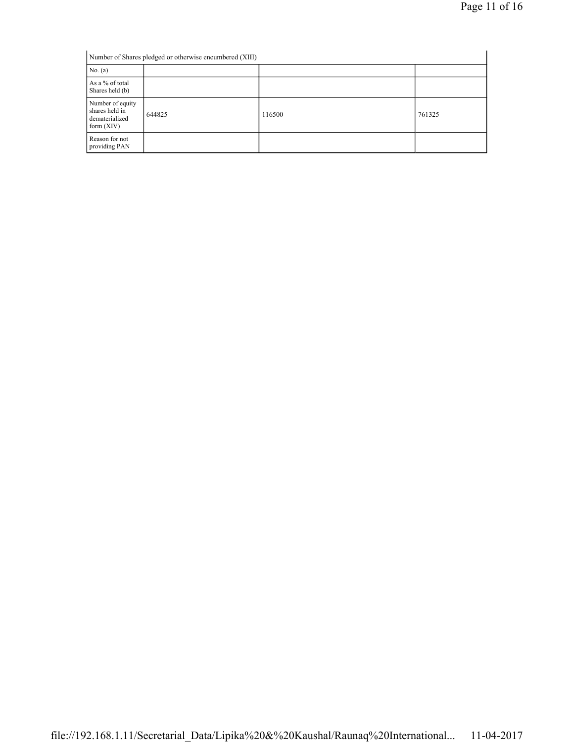| Number of Shares pledged or otherwise encumbered (XIII)              |        |        |        |  |  |  |  |
|----------------------------------------------------------------------|--------|--------|--------|--|--|--|--|
| No. (a)                                                              |        |        |        |  |  |  |  |
| As a % of total<br>Shares held (b)                                   |        |        |        |  |  |  |  |
| Number of equity<br>shares held in<br>dematerialized<br>form $(XIV)$ | 644825 | 116500 | 761325 |  |  |  |  |
| Reason for not<br>providing PAN                                      |        |        |        |  |  |  |  |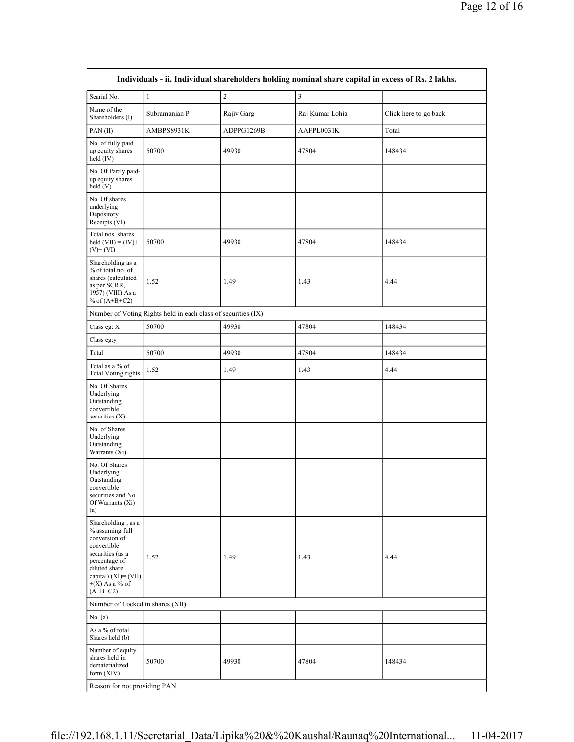| Individuals - ii. Individual shareholders holding nominal share capital in excess of Rs. 2 lakhs.                                                                                        |                                                               |                |                 |                       |  |  |  |  |
|------------------------------------------------------------------------------------------------------------------------------------------------------------------------------------------|---------------------------------------------------------------|----------------|-----------------|-----------------------|--|--|--|--|
| Searial No.                                                                                                                                                                              | $\mathbf{1}$                                                  | $\overline{2}$ | $\mathfrak{Z}$  |                       |  |  |  |  |
| Name of the<br>Shareholders (I)                                                                                                                                                          | Subramanian P                                                 | Rajiv Garg     | Raj Kumar Lohia | Click here to go back |  |  |  |  |
| PAN(II)                                                                                                                                                                                  | AMBPS8931K                                                    | ADPPG1269B     | AAFPL0031K      | Total                 |  |  |  |  |
| No. of fully paid<br>up equity shares<br>held $(IV)$                                                                                                                                     | 50700                                                         | 49930          | 47804           | 148434                |  |  |  |  |
| No. Of Partly paid-<br>up equity shares<br>held(V)                                                                                                                                       |                                                               |                |                 |                       |  |  |  |  |
| No. Of shares<br>underlying<br>Depository<br>Receipts (VI)                                                                                                                               |                                                               |                |                 |                       |  |  |  |  |
| Total nos. shares<br>held $(VII) = (IV) +$<br>$(V)$ + $(VI)$                                                                                                                             | 50700                                                         | 49930          | 47804           | 148434                |  |  |  |  |
| Shareholding as a<br>% of total no. of<br>shares (calculated<br>as per SCRR,<br>1957) (VIII) As a<br>% of $(A+B+C2)$                                                                     | 1.52                                                          | 1.49           | 1.43            | 4.44                  |  |  |  |  |
|                                                                                                                                                                                          | Number of Voting Rights held in each class of securities (IX) |                |                 |                       |  |  |  |  |
| Class eg: X                                                                                                                                                                              | 50700                                                         | 49930          | 47804           | 148434                |  |  |  |  |
| Class eg:y                                                                                                                                                                               |                                                               |                |                 |                       |  |  |  |  |
| Total                                                                                                                                                                                    | 50700                                                         | 49930          | 47804           | 148434                |  |  |  |  |
| Total as a % of<br><b>Total Voting rights</b>                                                                                                                                            | 1.52                                                          | 1.49           | 1.43            | 4.44                  |  |  |  |  |
| No. Of Shares<br>Underlying<br>Outstanding<br>convertible<br>securities $(X)$                                                                                                            |                                                               |                |                 |                       |  |  |  |  |
| No. of Shares<br>Underlying<br>Outstanding<br>Warrants (Xi)                                                                                                                              |                                                               |                |                 |                       |  |  |  |  |
| No. Of Shares<br>Underlying<br>Outstanding<br>convertible<br>securities and No.<br>Of Warrants (Xi)<br>(a)                                                                               |                                                               |                |                 |                       |  |  |  |  |
| Shareholding, as a<br>% assuming full<br>conversion of<br>convertible<br>securities (as a<br>percentage of<br>diluted share<br>capital) $(XI) = (VII)$<br>$+(X)$ As a % of<br>$(A+B+C2)$ | 1.52                                                          | 1.49           | 1.43            | 4.44                  |  |  |  |  |
| Number of Locked in shares (XII)                                                                                                                                                         |                                                               |                |                 |                       |  |  |  |  |
| No. (a)                                                                                                                                                                                  |                                                               |                |                 |                       |  |  |  |  |
| As a % of total<br>Shares held (b)                                                                                                                                                       |                                                               |                |                 |                       |  |  |  |  |
| Number of equity<br>shares held in<br>dematerialized<br>form $(XIV)$                                                                                                                     | 50700                                                         | 49930          | 47804           | 148434                |  |  |  |  |
| Reason for not providing PAN                                                                                                                                                             |                                                               |                |                 |                       |  |  |  |  |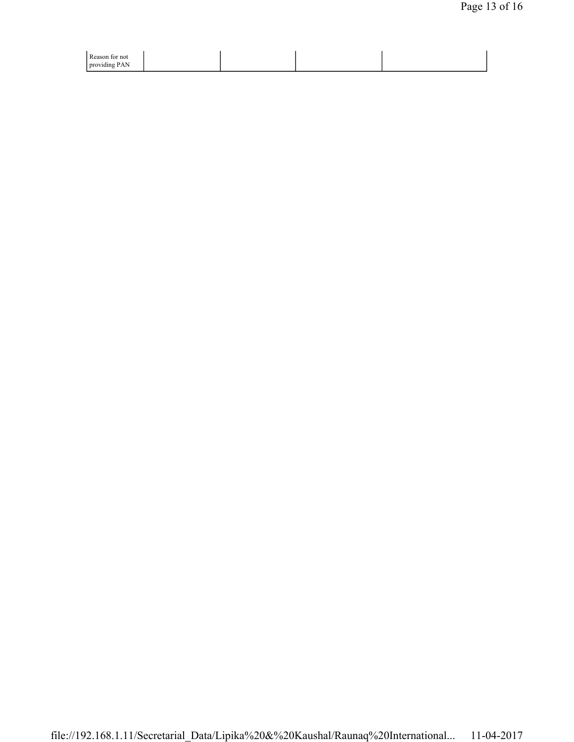| Reason for not<br>providing PAN |  |  |
|---------------------------------|--|--|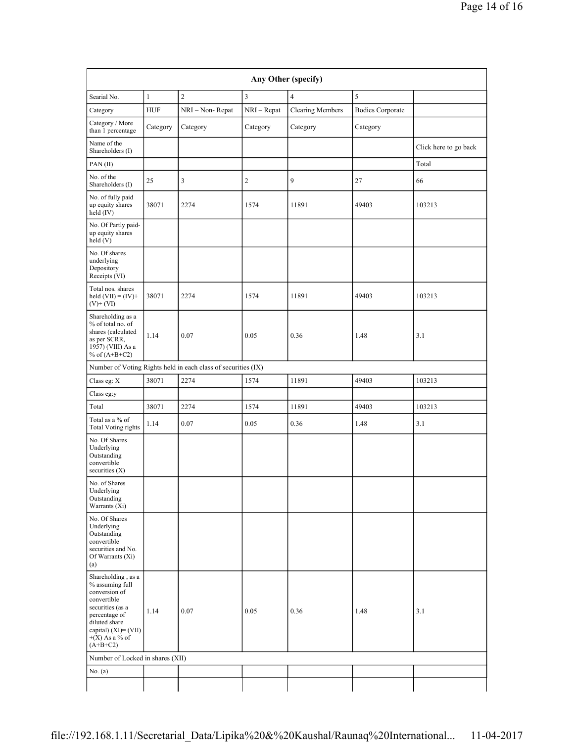| Any Other (specify)                                                                                                                                                                      |              |                                                               |              |                         |                         |                       |  |
|------------------------------------------------------------------------------------------------------------------------------------------------------------------------------------------|--------------|---------------------------------------------------------------|--------------|-------------------------|-------------------------|-----------------------|--|
| Searial No.                                                                                                                                                                              | $\mathbf{1}$ | $\overline{c}$                                                | 3            | $\overline{4}$          | 5                       |                       |  |
| Category                                                                                                                                                                                 | <b>HUF</b>   | NRI - Non-Repat                                               | NRI - Repat  | <b>Clearing Members</b> | <b>Bodies Corporate</b> |                       |  |
| Category / More<br>than 1 percentage                                                                                                                                                     | Category     | Category                                                      | Category     | Category                | Category                |                       |  |
| Name of the<br>Shareholders (I)                                                                                                                                                          |              |                                                               |              |                         |                         | Click here to go back |  |
| $PAN$ (II)                                                                                                                                                                               |              |                                                               |              |                         |                         | Total                 |  |
| No. of the<br>Shareholders (I)                                                                                                                                                           | 25           | 3                                                             | $\mathbf{2}$ | 9                       | 27                      | 66                    |  |
| No. of fully paid<br>up equity shares<br>held (IV)                                                                                                                                       | 38071        | 2274                                                          | 1574         | 11891                   | 49403                   | 103213                |  |
| No. Of Partly paid-<br>up equity shares<br>held(V)                                                                                                                                       |              |                                                               |              |                         |                         |                       |  |
| No. Of shares<br>underlying<br>Depository<br>Receipts (VI)                                                                                                                               |              |                                                               |              |                         |                         |                       |  |
| Total nos. shares<br>held $(VII) = (IV) +$<br>$(V)$ + $(VI)$                                                                                                                             | 38071        | 2274                                                          | 1574         | 11891                   | 49403                   | 103213                |  |
| Shareholding as a<br>% of total no. of<br>shares (calculated<br>as per SCRR,<br>1957) (VIII) As a<br>% of $(A+B+C2)$                                                                     | 1.14         | 0.07                                                          | 0.05         | 0.36                    | 1.48                    | 3.1                   |  |
|                                                                                                                                                                                          |              | Number of Voting Rights held in each class of securities (IX) |              |                         |                         |                       |  |
| Class eg: $\mathbf X$                                                                                                                                                                    | 38071        | 2274                                                          | 1574         | 11891                   | 49403                   | 103213                |  |
| Class eg:y                                                                                                                                                                               |              |                                                               |              |                         |                         |                       |  |
| Total                                                                                                                                                                                    | 38071        | 2274                                                          | 1574         | 11891                   | 49403                   | 103213                |  |
| Total as a % of<br><b>Total Voting rights</b>                                                                                                                                            | 1.14         | 0.07                                                          | 0.05         | 0.36                    | 1.48                    | 3.1                   |  |
| No. Of Shares<br>Underlying<br>Outstanding<br>convertible<br>securities $(X)$                                                                                                            |              |                                                               |              |                         |                         |                       |  |
| No. of Shares<br>Underlying<br>Outstanding<br>Warrants (Xi)                                                                                                                              |              |                                                               |              |                         |                         |                       |  |
| No. Of Shares<br>Underlying<br>Outstanding<br>convertible<br>securities and No.<br>Of Warrants (Xi)<br>(a)                                                                               |              |                                                               |              |                         |                         |                       |  |
| Shareholding, as a<br>% assuming full<br>conversion of<br>convertible<br>securities (as a<br>percentage of<br>diluted share<br>capital) $(XI) = (VII)$<br>$+(X)$ As a % of<br>$(A+B+C2)$ | 1.14         | 0.07                                                          | 0.05         | 0.36                    | 1.48                    | 3.1                   |  |
| Number of Locked in shares (XII)                                                                                                                                                         |              |                                                               |              |                         |                         |                       |  |
| No. (a)                                                                                                                                                                                  |              |                                                               |              |                         |                         |                       |  |
|                                                                                                                                                                                          |              |                                                               |              |                         |                         |                       |  |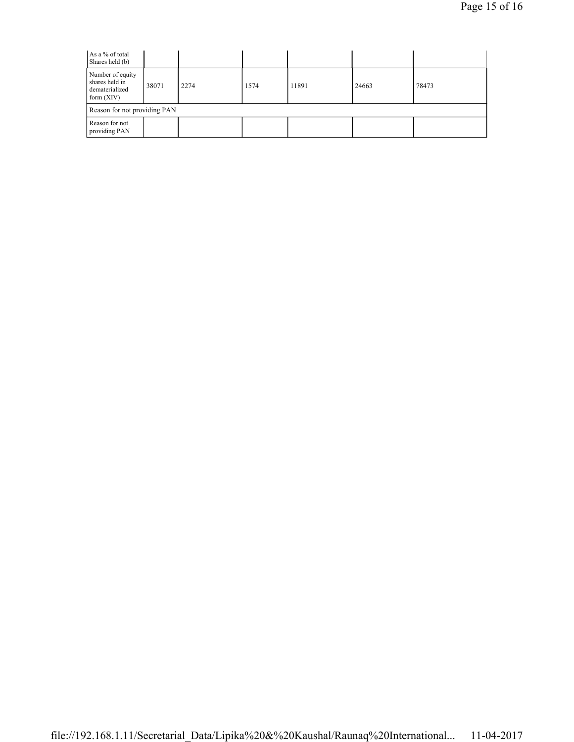| As a % of total<br>Shares held (b)                                   |       |      |      |       |       |       |
|----------------------------------------------------------------------|-------|------|------|-------|-------|-------|
| Number of equity<br>shares held in<br>dematerialized<br>form $(XIV)$ | 38071 | 2274 | 1574 | 11891 | 24663 | 78473 |
| Reason for not providing PAN                                         |       |      |      |       |       |       |
| Reason for not<br>providing PAN                                      |       |      |      |       |       |       |